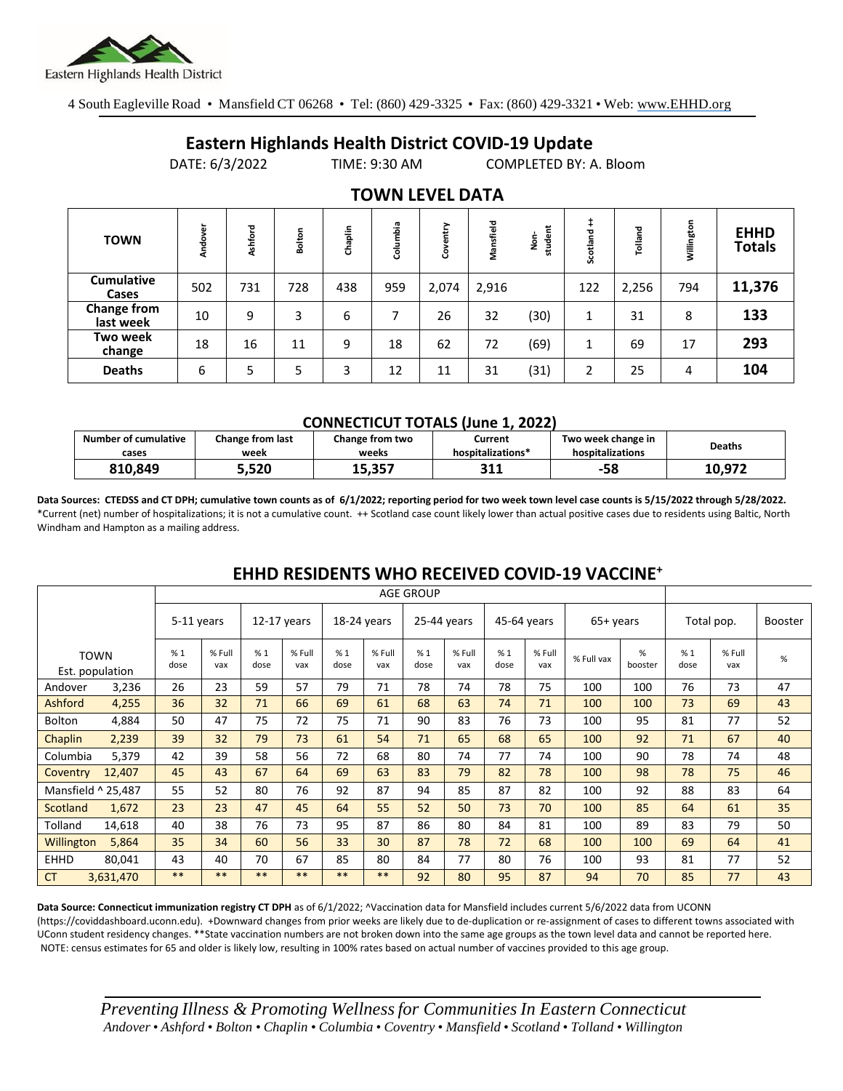

4 South Eagleville Road • Mansfield CT 06268 • Tel: (860) 429-3325 • Fax: (860) 429-3321 • Web: www.EHHD.org

## **Eastern Highlands Health District COVID-19 Update**

DATE: 6/3/2022 TIME: 9:30 AM COMPLETED BY: A. Bloom

| . <u>. .</u> <i>. .</i>         |         |         |        |         |          |              |           |                   |               |         |            |                              |
|---------------------------------|---------|---------|--------|---------|----------|--------------|-----------|-------------------|---------------|---------|------------|------------------------------|
| <b>TOWN</b>                     | Andover | Ashford | Bolton | Chaplin | Columbia | ><br>늍<br>පි | Mansfield | student<br>غ<br>ع | +<br>Scotland | Tolland | Willington | <b>EHHD</b><br><b>Totals</b> |
| <b>Cumulative</b><br>Cases      | 502     | 731     | 728    | 438     | 959      | 2,074        | 2,916     |                   | 122           | 2,256   | 794        | 11,376                       |
| <b>Change from</b><br>last week | 10      | 9       | 3      | 6       |          | 26           | 32        | (30)              | 1             | 31      | 8          | 133                          |
| Two week<br>change              | 18      | 16      | 11     | 9       | 18       | 62           | 72        | (69)              | 1             | 69      | 17         | 293                          |
| <b>Deaths</b>                   | 6       | 5       | 5      | 3       | 12       | 11           | 31        | (31)              | ำ<br>∠        | 25      | 4          | 104                          |

### **TOWN LEVEL DATA**

#### **CONNECTICUT TOTALS (June 1, 2022)**

| <b>Number of cumulative</b> | Change from last | Change from two | Current           | Two week change in | <b>Deaths</b> |
|-----------------------------|------------------|-----------------|-------------------|--------------------|---------------|
| cases                       | week             | weeks           | hospitalizations* | hospitalizations   |               |
| 810.849                     | 5,520.د          | 15,357          | 211<br>コエエ        | -58                | 10.972        |

**Data Sources: CTEDSS and CT DPH; cumulative town counts as of 6/1/2022; reporting period for two week town level case counts is 5/15/2022 through 5/28/2022.** \*Current (net) number of hospitalizations; it is not a cumulative count. ++ Scotland case count likely lower than actual positive cases due to residents using Baltic, North Windham and Hampton as a mailing address.

# **EHHD RESIDENTS WHO RECEIVED COVID-19 VACCINE<sup>+</sup>**

|                    |                                | <b>AGE GROUP</b> |               |             |               |             |               |             |               |             |               |            |              |            |               |         |
|--------------------|--------------------------------|------------------|---------------|-------------|---------------|-------------|---------------|-------------|---------------|-------------|---------------|------------|--------------|------------|---------------|---------|
|                    |                                | 5-11 years       |               | 12-17 years |               | 18-24 years |               | 25-44 years |               | 45-64 years |               | 65+ years  |              | Total pop. |               | Booster |
|                    | <b>TOWN</b><br>Est. population | %1<br>dose       | % Full<br>vax | %1<br>dose  | % Full<br>vax | %1<br>dose  | % Full<br>vax | %1<br>dose  | % Full<br>vax | %1<br>dose  | % Full<br>vax | % Full vax | %<br>booster | %1<br>dose | % Full<br>vax | %       |
| Andover            | 3,236                          | 26               | 23            | 59          | 57            | 79          | 71            | 78          | 74            | 78          | 75            | 100        | 100          | 76         | 73            | 47      |
| Ashford            | 4,255                          | 36               | 32            | 71          | 66            | 69          | 61            | 68          | 63            | 74          | 71            | 100        | 100          | 73         | 69            | 43      |
| <b>Bolton</b>      | 4,884                          | 50               | 47            | 75          | 72            | 75          | 71            | 90          | 83            | 76          | 73            | 100        | 95           | 81         | 77            | 52      |
| Chaplin            | 2,239                          | 39               | 32            | 79          | 73            | 61          | 54            | 71          | 65            | 68          | 65            | 100        | 92           | 71         | 67            | 40      |
| Columbia           | 5,379                          | 42               | 39            | 58          | 56            | 72          | 68            | 80          | 74            | 77          | 74            | 100        | 90           | 78         | 74            | 48      |
| Coventry           | 12,407                         | 45               | 43            | 67          | 64            | 69          | 63            | 83          | 79            | 82          | 78            | 100        | 98           | 78         | 75            | 46      |
| Mansfield ^ 25,487 |                                | 55               | 52            | 80          | 76            | 92          | 87            | 94          | 85            | 87          | 82            | 100        | 92           | 88         | 83            | 64      |
| Scotland           | 1,672                          | 23               | 23            | 47          | 45            | 64          | 55            | 52          | 50            | 73          | 70            | 100        | 85           | 64         | 61            | 35      |
| Tolland            | 14,618                         | 40               | 38            | 76          | 73            | 95          | 87            | 86          | 80            | 84          | 81            | 100        | 89           | 83         | 79            | 50      |
| Willington         | 5,864                          | 35               | 34            | 60          | 56            | 33          | 30            | 87          | 78            | 72          | 68            | 100        | 100          | 69         | 64            | 41      |
| <b>EHHD</b>        | 80,041                         | 43               | 40            | 70          | 67            | 85          | 80            | 84          | 77            | 80          | 76            | 100        | 93           | 81         | 77            | 52      |
| <b>CT</b>          | 3,631,470                      | $***$            | $***$         | $***$       | $***$         | $**$        | **            | 92          | 80            | 95          | 87            | 94         | 70           | 85         | 77            | 43      |

Data Source: Connecticut immunization registry CT DPH as of 6/1/2022; <sup>^</sup>Vaccination data for Mansfield includes current 5/6/2022 data from UCONN (https://coviddashboard.uconn.edu). +Downward changes from prior weeks are likely due to de-duplication or re-assignment of cases to different towns associated with UConn student residency changes. \*\*State vaccination numbers are not broken down into the same age groups as the town level data and cannot be reported here. NOTE: census estimates for 65 and older is likely low, resulting in 100% rates based on actual number of vaccines provided to this age group.

*Preventing Illness & Promoting Wellnessfor Communities In Eastern Connecticut* Andover • Ashford • Bolton • Chaplin • Columbia • Coventry • Mansfield • Scotland • Tolland • Willington